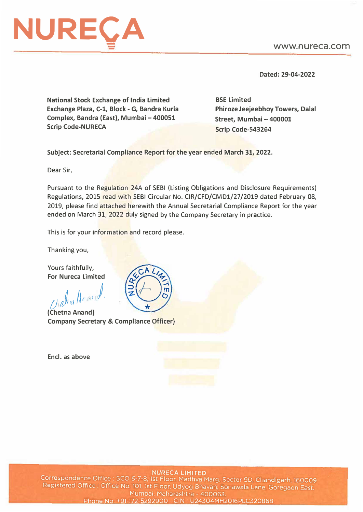## www.nureca.com



Dated: 29-04-2022

National Stock Exchange of India Limited Exchange Plaza, C-1, Block - G, Sandra Kurla Complex, Bandra (East), Mumbai - 400051 Scrip Code-NURECA

BSE Limited **Phiroze Jeejeebhoy Towers, Dalal Street, Mumbai-400001 Scrip Code-543264** 

**Subject: Secretarial Compliance Report for the year ended March 31, 2022.** 

Dear Sir,

Pursuant to the Regulation 24A of SEBI (Listing Obligations and Disclosure Requirements) Regulations, 2015 read with SEBI Circular No. CIR/CFD/CMD1/27/2019 dated February 08, 2019, please find attached herewith the Annual Secretarial Compliance Report for the year ended on March 31, 2022 duly signed by the Company Secretary in practice.

This is for your information and record please.

Thanking you,

Yours faithfully, **For Nureca Limited** 

*.d �111}, {) al'\'.�* <sup>N</sup>

**(Chetna Anand) Company Secretary & Compliance Officer)** 

**Encl. as above** 



**NURECA LIMITED** Correspondence Office: SCO 6-7-8, 1st Floor, Madhya Marg. Sector 9D, Chandigarh, 160009 Registered Office : Office No. 101, 1st Floor, Udyog Bhavan, Sonawala Lane, Goregaon East, Mumbai, Maharashtra - 400063. Phone No. +91-172-5292900 CIN: U24304MH2016PLC320868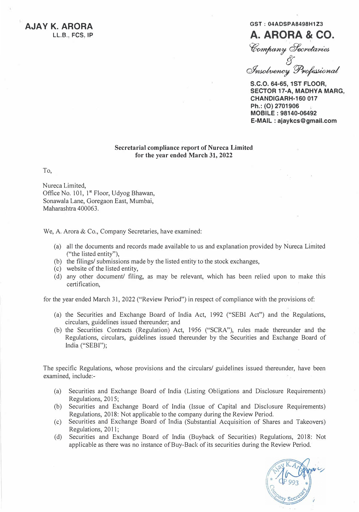**AJA V K. ARORA LL.B., FCS, IP**

## **GST: 04AOSPA8498H1Z3 A. ARORA & CO.**

Company *Secretaries* 

*fJ Q/h6()� pj)�tn,/* 

S.C.O. 64-65, 1ST FLOOR, **SECTOR 17-A, MADHYA MARG, CHANDIGARH-160 017 Ph.: (0) 2701906 MOBILE: 98140-06492 E-MAIL : ajaykcs@gmall.com**

## **Secretarial compliance report of Nureca Limited for the year ended March 31, 2022**

To,

Nureca Limited, Office No. 101, 1<sup>st</sup> Floor, Udyog Bhawan, Sonawala Lane, Goregaon East, Mumbai, Maharashtra 400063.

We, A. Arora & Co., Company Secretaries, have examined:

- (a) all the documents and records made available to us and explanation provided by Nureca Limited ("the listed entity"),
- (b) the filings/ submissions made by the listed entity to the stock exchanges,
- (c) website of the listed entity,
- (d) any other document/ filing, as may be relevant, which has been relied upon to make this certification,

for the year ended March 31, 2022 ("Review Period") in respect of compliance with the provisions of:

- (a) the Securities and Exchange Board of India Act, 1992 ("SEBI Act") and the Regulations, circulars, guidelines issued thereunder; and
- (b) the Securities Contracts (Regulation) Act, 1956 ("SCRA"), rules made thereunder and the Regulations, circulars, guidelines issued thereunder by the Securities and Exchange Board of India ("SEBI'');

The specific Regulations, whose provisions and the circulars/ guidelines issued thereunder, have been examined, include:-

- (a) Securities and Exchange Board of India (Listing Obligations and Disclosure Requirements) Regulations, 2015;
- (b) Securities and Exchange Board of India (Issue of Capital and Disclosure Requirements) Regulations, 2018: Not applicable to the company during the Review Period.
- (c) Securities and Exchange Board of India (Substantial Acquisition of Shares and Takeovers) Regulations, 2011;
- (d) Securities and Exchange Board of India (Buyback of Securities) Regulations, 2018: Not applicable as there was no instance of Buy-Back of its securities during the Review Period.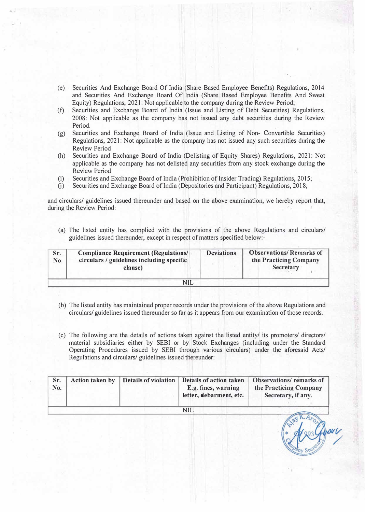- (e) Securities And Exchange Board Of India (Share Based Employee Benefits) Regulations, 2014 and Securities And Exchange Board Of India (Share Based Employee Benefits And Sweat Equity) Regulations, 2021: Not applicable to the company during the Review Period;
- (f) Securities and Exchange Board of India (Issue and Listing of Debt Securities) Regulations, 2008: Not applicable as the company has not issued any debt securities during the Review Period.
- (g) Securities and Exchange Board of India (Issue and Listing of Non- Convertible Securities) Regulations, 2021: Not applicable as the company has not issued any such securities during the Review Period
- (h) Securities and Exchange Board of India (Delisting of Equity Shares) Regulations, 2021: Not applicable as the company has not delisted any securities from any stock exchange during the **Review** Period
- $(i)$  Securities and Exchange Board of India (Prohibition of Insider Trading) Regulations, 2015;
- G) Securities and Exchange Board of India (Depositories and Participant) Regulations, 2018;

and circulars/ guidelines issued thereunder and based on the above examination, we hereby report that, during the Review Period:

(a) The listed entity has complied with the provisions of the above Regulations and circulars/ guidelines issued thereunder, except in respect of matters specified below:-

| Sr.<br>N <sub>0</sub> | <b>Compliance Requirement (Regulations/</b><br>circulars / guidelines including specific<br>clause) | <b>Deviations</b> | <b>Observations/Remarks of</b><br>the Practicing Company<br><b>Secretary</b> |  |
|-----------------------|-----------------------------------------------------------------------------------------------------|-------------------|------------------------------------------------------------------------------|--|
|                       |                                                                                                     |                   |                                                                              |  |

- (b) The listed entity has maintained proper records under the provisions of the above Regulations and circulars/ guidelines issued thereunder so far as it appears from our examination of those records.
- (c) The following are the details of actions taken against the listed entity/ its promoters/ directors/ material subsidiaries either by SEBI or by Stock Exchanges (including under the Standard Operating Procedures issued by SEBI through various circulars) under the aforesaid Acts/ Regulations and circulars/ guidelines issued thereunder:

| Sr.<br>No. | Action taken by Details of violation | Details of action taken<br>E.g. fines, warning<br>letter, debarment, etc. | <b>Observations/remarks of</b><br>the Practicing Company<br>Secretary, if any. |
|------------|--------------------------------------|---------------------------------------------------------------------------|--------------------------------------------------------------------------------|
|            |                                      | NH                                                                        |                                                                                |